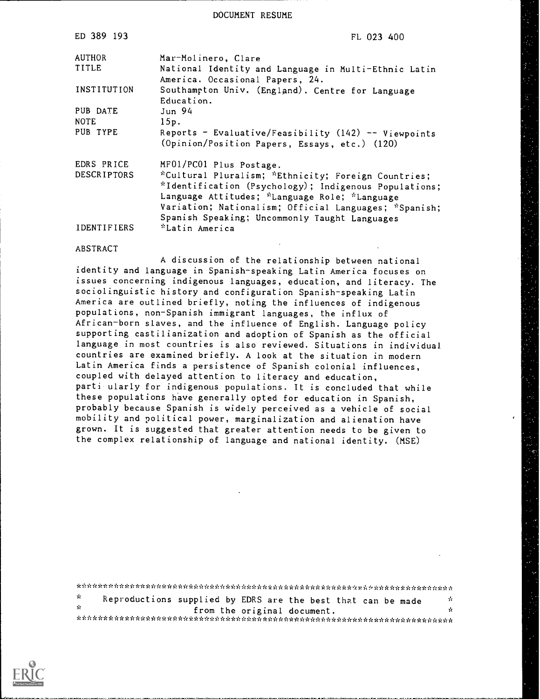DOCUMENT RESUME

| ED 389 193         | FL 023 400                                                                                                                                                                                                                                                              |  |  |  |  |
|--------------------|-------------------------------------------------------------------------------------------------------------------------------------------------------------------------------------------------------------------------------------------------------------------------|--|--|--|--|
| <b>AUTHOR</b>      | Mar-Molinero, Clare                                                                                                                                                                                                                                                     |  |  |  |  |
| TITLE              | National Identity and Language in Multi-Ethnic Latin<br>America. Occasional Papers, 24.                                                                                                                                                                                 |  |  |  |  |
| INSTITUTION        | Southampton Univ. (England). Centre for Language<br>Education.                                                                                                                                                                                                          |  |  |  |  |
| PUB DATE           | Jun 94                                                                                                                                                                                                                                                                  |  |  |  |  |
| <b>NOTE</b>        | 15p.                                                                                                                                                                                                                                                                    |  |  |  |  |
| PUB TYPE           | Reports - Evaluative/Feasibility $(142)$ -- Viewpoints<br>(Opinion/Position Papers, Essays, etc.) (120)                                                                                                                                                                 |  |  |  |  |
| EDRS PRICE         | MF01/PC01 Plus Postage.                                                                                                                                                                                                                                                 |  |  |  |  |
| <b>DESCRIPTORS</b> | *Cultural Pluralism; *Ethnicity; Foreign Countries;<br>*Identification (Psychology); Indigenous Populations;<br>Language Attitudes; *Language Role; *Language<br>Variation; Nationalism; Official Languages; *Spanish;<br>Spanish Speaking; Uncommonly Taught Languages |  |  |  |  |
| IDENTIFIERS        | *Latin America                                                                                                                                                                                                                                                          |  |  |  |  |

### ABSTRACT

A discussion of the relationship between national identity and language in Spanish-speaking Latin America focuses on issues concerning indigenous languages, education, and literacy. The sociolinguistic history and configuration Spanish-speaking Latin America are outlined briefly, noting the influences of indigenous populations, non-Spanish immigrant languages, the influx of African-born slaves, and the influence of English. Language policy supporting castilianization and adoption of Spanish as the official language in most countries is also reviewed. Situations in individual countries are examined briefly. A look at the situation in modern Latin America finds a persistence of Spanish colonial influences, coupled with delayed attention to literacy and education, parti ularly for indigenous populations. It is concluded that while these populations have generally opted for education in Spanish, probably because Spanish is widely perceived as a vehicle of social mobility and political power, marginalization and alienation have grown. It is suggested that greater attention needs to be given to the complex relationship of language and national identity. (MSE)

| У. | Reproductions supplied by EDRS are the best that can be made |  |                             |  | ÷. |
|----|--------------------------------------------------------------|--|-----------------------------|--|----|
| γ. |                                                              |  | from the original document. |  | Ń. |
|    |                                                              |  |                             |  |    |

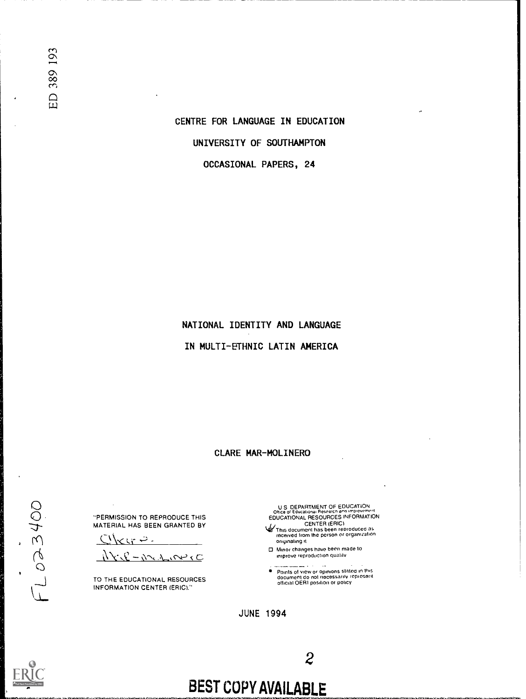

 $\cup$  $\cup$  . The set of  $\cup$  $\mathcal{T}$ 

 $\sigma$  and  $\sigma$ 

# BEST COPY AVAILABLE

JUNE 1994

 $\mathbf{C}$ 

TO THE EDUCATIONAL RESOURCES INFORMATION CENTER (ERIC)."

روية ب

"PERMISSION TO REPRODUCE THIS MATERIAL HAS BEEN GRANTED BY

U S DEPARTMENT OF EDUCATIONAL RESOURCES INFORMATION<br>EDUCATIONAL RESOURCES INFORMATION<br>CENTER (ERIC)<br>We This document has been reproduced as<br>received from the person or organization

originating it

CI Minor changes have been made to improve reproduction quality

 $\sim$ Points of view or opinions stated in this document do not necessarily represent official OERI posilion or policy

CLARE MAR-MOLINERO

NATIONAL IDENTITY AND LANGUAGE

IN MULTI-ETHNIC LATIN AMERICA

CENTRE FOR LANGUAGE IN EDUCATION UNIVERSITY OF SOUTHAMPTON OCCASIONAL PAPERS, 24

ED 389 193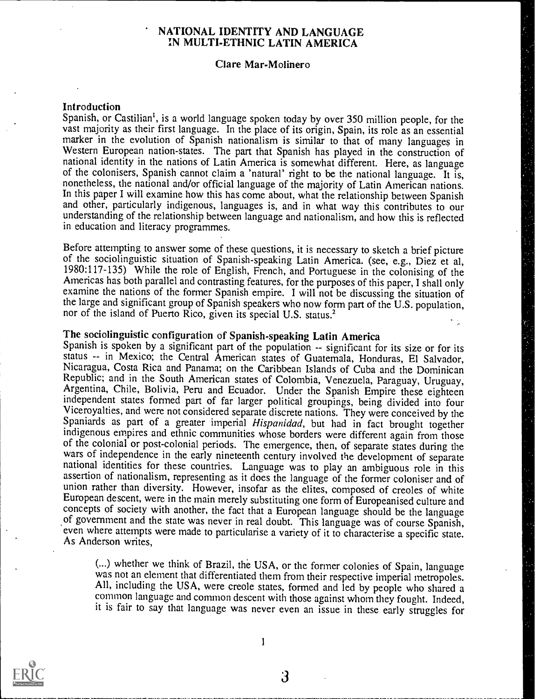### NATIONAL IDENTITY AND LANGUAGE IN MULTI-ETHNIC LATIN AMERICA

### Clare Mar-Molinero

### Introduction

Spanish, or Castilian', is a world language spoken today by over 350 million people, for the vast majority as their first language. In the place of its origin, Spain, its role as an essential marker in the evolution of Spanish nationalism is similar to that of many languages in Western European nation-states. The part that Spanish has played in the construction of national identity in the nations of Latin America is somewhat different. Here, as language of the colonisers, Spanish cannot claim a 'natural' right to be the national language. It is, nonetheless, the national and/or official language of the majority of Latin American nations. In this paper I will examine how this has come about, what the relationship between Spanish and other, particularly indigenous, languages is, and in what way this contributes to our understanding of the relationship between language and nationalism, and how this is reflected in education and literacy programmes.

Before attempting to answer some of these questions, it is necessary to sketch a brief picture<br>of the sociolinguistic situation of Spanish-speaking Latin America. (see, e.g., Diez et al,<br>1980:117-135) While the role of Eng examine the nations of the former Spanish empire. I will not be discussing the situation of the large and significant group of Spanish speakers who now form part of the U.S. population, nor of the island of Puerto Rico, given its special U.S. status.<sup>2</sup>

The sociolinguistic configuration of Spanish-speaking Latin America<br>Spanish is spoken by a significant part of the population -- significant for its size or for its status -- in Mexico; the Central American states of Guatemala, Honduras, El Salvador, Nicaragua, Costa Rica and Panama; on the Caribbean Islands of Cuba and the Dominican Republic; and in the South American states of Colombia, Venezuela, Paraguay, Uruguay, Argentina, Chile, Bolivia, Peru and Ecuador. Under the Spanish Empire these eighteen independent states formed part of far larger political groupings, being divided into four Viceroyalties, and were not considered separate discrete nations. They were conceived by the Spaniards as part of a greater imperial *Hispanidad*, but had in fact brought together indigenous empires and ethnic communities of the colonial or post-colonial periods. The emergence, then, of separate states during the wars of independence in the early nineteenth century involved the development of separate national identities for these countries of government and the state was never in real doubt. This language was of course Spanish, even where attempts were made to particularise a variety of it to characterise a specific state. As Anderson writes,

(...) whether we think of Brazil, the USA, or the former colonies of Spain, language was not an element that differentiated them from their respective imperial metropoles. All, including the USA, were creole states, formed and led by people who shared a common language and common descent with those against whom they fought. Indeed, it is fair to say that language was never even an issue in these early struggles for



1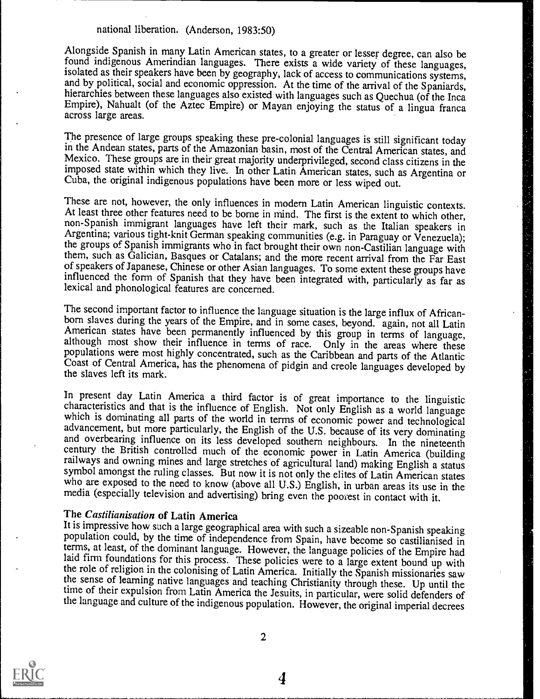Alongside Spanish in many Latin American states, to a greater or lesser degree, can also be found indigenous Amerindian languages. There exists a wide variety of these languages, isolated as their speakers have been by geography, lack of access to communications systems, and by political, social and economic oppression. At the time of the arrival of the Spaniards, hierarchies between these language across large areas.

The presence of large groups speaking these pre-colonial languages is still significant today in the Andean states, parts of the Amazonian basin, most of the Central American states, and Mexico. These groups are in their great majority underprivileged, second class citizens in the imposed state within which they live. In other Latin American states, such as Argentina or Cuba, the original indigenous populations have been more or less wiped out.

These are not, however, the only influences in modern Latin American linguistic contexts.<br>At least three other features need to be borne in mind. The first is the extent to which other, non-Spanish immigrant languages have them, such as Galician, Basques or Catalans; and the more recent arrival from the Far East of speakers of Japanese, Chinese or other Asian languages. To some extent these groups have influenced the form of Spanish that they have been integrated with, particularly as far as lexical and phonological features are concerned.

The second important factor to influence the language situation is the large influx of African-<br>born slaves during the years of the Empire, and in some cases, beyond. again, not all Latin<br>American states have been permanen

In present day Latin America a third factor is of great importance to the linguistic characteristics and that is the influence of English. Not only English as a world language which is dominating all parts of the world in terms of economic power and technological advancement, but more particularly, the English of the U.S. because of its very dominating and overbearing influence on its less devel century the British controlled much of the economic power in Latin America (building railways and owning mines and large stretches of agricultural land) making English a status symbol amongst the ruling classes. But now it is not only the elites of Latin American states who are exposed to the need to know (above all U.S.) English, in urban areas its use in the media (especially television and adv

The Castilianisation of Latin America<br>It is impressive how such a large geographical area with such a sizeable non-Spanish speaking population could, by the time of independence from Spain, have become so castilianised in terms, at least, of the dominant language. However, the language policies of the Empire had laid firm foundations for this process. These policies were to a large extent bound up with<br>the role of religion in the colonising of Latin America. Initially the Spanish missionaries saw<br>the sense of learning native langu



2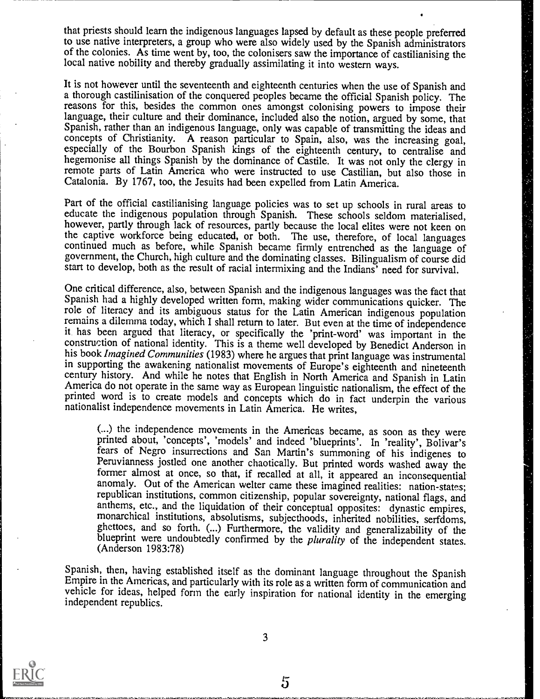that priests should learn the indigenous languages lapsed by default as these people preferred to use native interpreters, a group who were also widely used by the Spanish administrators of the colonies. As time went by, too, the colonisers saw the importance of castilianising the local native nobility and thereby gradually assimilating it into western ways.

It is not however until the seventeenth and eighteenth centuries when the use of Spanish and a thorough castilinisation of the conquered peoples became the official Spanish policy. The reasons for this, besides the common ones amongst colonising powers to impose their language, their culture and their dominance, included also the notion, argued by some, that Spanish, rather than an indigenous language, only was capable of transmitting the ideas and concepts of Christianity. A reason particular to Spain, also, was the increasing goal, especially of the Bourbon Spanish kings of the eighteenth century, to centralise and hegemonise all things Spanish by the dominance of Castile. It was not only the clergy in remote parts of Latin America who were instructed to use Castilian, but also those in Catalonia. By 1767, too, the Jesuits had been expelled from Latin America.

Part of the official castilianising language policies was to set up schools in rural areas to educate the indigenous population through Spanish. These schools seldom materialised, however, partly through lack of resources, partly because the local elites were not keen on the captive workforce being educated, or both. The use, therefore, of local languages continued much as before, while Spanish became firmly entrenched as the language of government, the Church, high culture and the dominating classes. Bilingualism of course did start to develop, both as the result of racial intermixing and the Indians' need for survival.

One critical difference, also, between Spanish and the indigenous languages was the fact that Spanish had a highly developed written form, making wider communications quicker. The role of literacy and its ambiguous status for the Latin American indigenous population remains a dilemma today, which I shall return to later. But even at the time of independence it has been argued that literacy, or specifically the 'print-word' was important in the construction of national identity. This is a theme well developed by Benedict Anderson in his book *Imagined Communities* (1983) where he argues that print language was instrumental in supporting the awakening nationalist movements of Europe's eighteenth and nineteenth century history. And while he notes that English in North America and Spanish in Latin America do not operate in the same way as European linguistic nationalism, the effect of the printed word is to create models and concepts which do in fact underpin the various nationalist independence movements in Latin America. He writes,

(...) the independence movements in the Americas became, as soon as they were printed about, 'concepts', 'models' and indeed 'blueprints'. In 'reality', Bolivar's Peruvianness jostled one another chaotically. But printed words washed away the former almost at once, so that, if recalled at all, it appeared an inconsequential anomaly. Out of the American welter came these imagined realities: nation-states; republican institutions, common citizenship, popular sovereignty, national flags, and anthems, etc., and the liquidation of their conceptual monarchical institutions, absolutisms, subjecthoods, inherited nobilities, serfdoms, ghettoes, and so forth. (...) Furthermore, the validity and generalizability of the blueprint were undoubtedly confirmed by the *pluralit* 

Spanish, then, having established itself as the dominant language throughout the Spanish Empire in the Americas, and particularly with its role as a written form of communication and vehicle for ideas, helped form the early inspiration for national identity in the emerging independent republics.

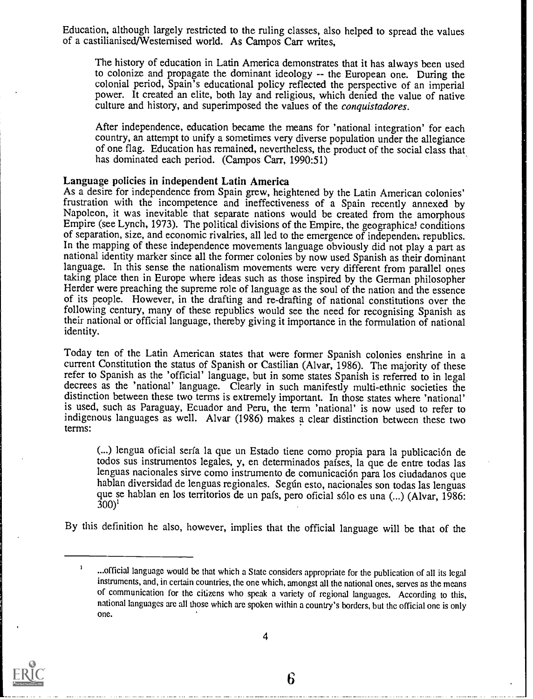Education, although largely restricted to the ruling classes, also helped to spread the values of a castilianised/Westernised world. As Campos Carr writes,

The history of education in Latin America demonstrates that it has always been used to colonize and propagate the dominant ideology -- the European one. During the colonial period, Spain's educational policy reflected the perspective of an imperial power. It created an elite, both lay and religious, which denied the value of native culture and history, and superimposed the values of the conquistadores.

After independence, education became the means for 'national integration' for each country, an attempt to unify a sometimes very diverse population under the allegiance of one flag. Education has remained, nevertheless, the product of the social class that has dominated each period. (Campos Carr, 1990:51)

### Language policies in independent Latin America

As a desire for independence from Spain grew, heightened by the Latin American colonies' frustration with the incompetence and ineffectiveness of a Spain recently annexed by Napoleon, it was inevitable that separate nations would be created from the amorphous Empire (see Lynch, 1973). The political divisions of the Empire, the geographical conditions of separation, size, and economic rivalries, all led to the emergence of independent republics.<br>In the mapping of these independence movements language obviously did not play a part as national identity marker since all the former colonies by now used Spanish as their dominant language. In this sense the nationalism movements were very different from parallel ones taking place then in Europe where ideas such as those inspired by the German philosopher Herder were preaching the supreme role of language as the soul of the nation and the essence of its people. However, in the drafting and re-drafting of national constitutions over the following century, many of these republics would see the need for recognising Spanish as their national or official language, thereby giving it importance in the formulation of national identity.

Today ten of the Latin American states that were former Spanish colonies enshrine in a current Constitution the status of Spanish or Castilian (Alvar, 1986). The majority of these refer to Spanish as the 'official' language, but in some states Spanish is referred to in legal decrees as the 'national' language. Clearly in such manifestly multi-ethnic societies the distinction between these two terms is extremely important. In those states where 'national' is used, such as Paraguay, Ecuador and Peru, the term 'national' is now used to refer to indigenous languages as well. Alvar (1986) makes a clear distinction between these two terms:

(...) lengua oficial serfa la que un Estado tiene como propia para la publicacidn de todos sus instrumentos legales, y, en determinados pafses, la que de entre todas las hablan diversidad de lenguas regionales. Según esto, nacionales son todas las lenguas que se hablan en los territorios de un pals, pero oficial sólo es una (...) (Alvar, 1986:  $(300)^1$ 

By this definition he also, however, implies that the official language will be that of the



<sup>1</sup> ...official language would be that which a State considers appropriate for the publication of all its legal instruments, and, in certain countries, the one which, amongst all the national ones, serves as the means of communication for the citizens who speak a variety of regional languages. According to this, national languages are all those which are spoken within a country's borders, but the official one is only one.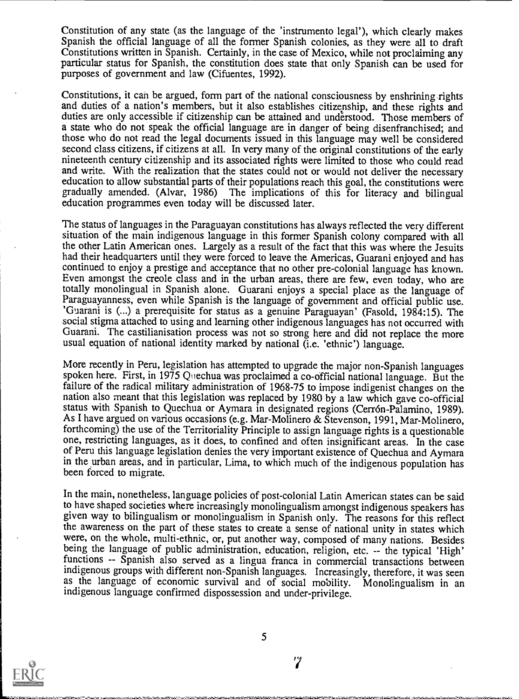Constitution of any state (as the language of the 'instrumento legal'), which clearly makes Spanish the official language of all the former Spanish colonies, as they were all to draft Constitutions written in Spanish. Certainly, in the case of Mexico, while not proclaiming any particular status for Spanish, the constitution does state that only Spanish can be used for purposes of government and law (Cifuentes, 1992).

Constitutions, it can be argued, form part of the national consciousness by enshrining rights and duties of a nation's members, but it also establishes citizenship, and these rights and duties are only accessible if citizenship can be attained and understood. Those members of a state who do not speak the official language are in danger of being disenfranchised; and those who do not read the legal documents issued in this language may well be considered second class citizens, if citizens at all. In very many of the original constitutions of the early nineteenth century citizenship and its associated rights were limited to those who could read and write. With the realization that the states could not or would not deliver the necessary education to allow substantial parts of their populations reach this goal, the constitutions were gradually amended. (Alvar, 1986) The implications of this for literacy and bilingual education programmes even today will be discussed later.

The status of languages in the Paraguayan constitutions has always reflected the very different situation of the main indigenous language in this former Spanish colony compared with all the other Latin American ones. Largely as a result of the fact that this was where the Jesuits had their headquarters until they were forced to leave the Americas, Guarani enjoyed and has continued to enjoy a prestige and acceptance that no other pre-colonial language has known. Even amongst the creole class and in the urban areas, there are few, even today, who are Paraguayanness, even while Spanish is the language of government and official public use. 'Guarani is (...) a prerequisite for status as a genuine Paraguayan' (Fasold, 1984:15). The social stigma attached to using and learning other indigenous languages has not occurred with Guarani. The castilianisation process was not so strong here and did not replace the more usual equation of national identity marked by national  $(i.e.$  'ethnic') language.

More recently in Peru, legislation has attempted to upgrade the major non-Spanish languages spoken here. First, in 1975 Quechua was proclaimed a co-official national language. But the failure of the radical military administration of 1968-75 to impose indigenist changes on the nation also meant that this legislation was replaced by 1980 by a law which gave co-official status with Spanish to Quechua or Aymara in designated regions (Cerrón-Palamino, 1989). As I have argued on various occasions (e.g. Mar-Molinero & Stevenson, 1991, Mar-Molinero, forthcoming) the use of the Territoriality Principle to assign language rights is a questionable one, restricting languages, as it does, to confined and often insignificant areas. In the case of Peru this language legislation denies the very important existence of Quechua and Aymara in the urban areas, and in particular, Lima, to which much of the indigenous population has been forced to migrate.

In the main, nonetheless, language policies of post-colonial Latin American states can be said to have shaped societies where increasingly monolingualism amongst indigenous speakers has given way to bilingualism or monolingualism in Spanish only. The reasons for this reflect the awareness on the part of these states to create a sense of national unity in states which were, on the whole, multi-ethnic, or, put another way, composed of many nations. Besides being the language of public administration, education, religion, etc. -- the typical 'High' functions -- Spanish also served as a lingua franca in commercial transactions between indigenous groups with different non-Spanish languages. Increasingly, therefore, it was seen<br>as the language of economic survival and of social mobility. Monolingualism in an as the language of economic survival and of social mobility. indigenous language confirmed dispossession and under-privilege.



5

'7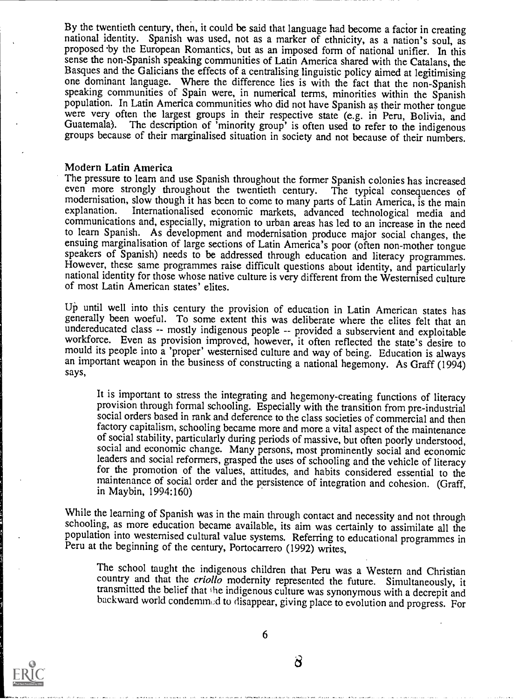By the twentieth century, then, it could be said that language had become a factor in creating national identity. Spanish was used, not as a marker of ethnicity, as a nation's soul, as proposed by the European Romantics, but as an imposed form of national unifier. In this sense the non-Spanish speaking communities of Latin America shared with the Catalans, the Basques and the Galicians the effects of a centralising linguistic policy aimed at legitimising one dominant language. Where the difference lies is with the fact that the non-Spanish speaking communities of Spain were, in numerical terms, minorities within the Spanish population. In Latin America communities who did not have Spanish as their mother tongue were very often the largest groups in their respective state (e.g. in Peru, Bolivia, and Guatemala). The description of 'minority group' is often used to refer to the indigenous groups because of their marginalised situati

### Modern Latin America

The pressure to learn and use Spanish throughout the former Spanish colonies has increased even more strongly throughout the twentieth century. The typical consequences of modernisation, slow though it has been to come to many parts of Latin America, is the main explanation. Internationalised economic markets advanced technological media and Internationalised economic markets, advanced technological media and communications and, especially, migration to urban areas has led to an increase in the need to learn Spanish. As development and modernisation produce major social changes, the ensuing marginalisation of large sections of Latin America's poor (often non-mother tongue speakers of Spanish) needs to be addressed through education and literacy programmes. However, these same programmes raise difficult questions about identity, and particularly national identity for those whose native culture is very different from the Westernised culture of most Latin American states' elites.

Up until well into this century the provision of education in Latin American states has generally been woeful. To some extent this was deliberate where the elites felt that an undereducated class -- mostly indigenous people -- provided a subservient and exploitable workforce. Even as provision improved, however, it often reflected the state's desire to mould its people into a 'proper' westernised culture and way of being. Education is always an important weapon in the business of con says,

It is important to stress the integrating and hegemony-creating functions of literacy provision through formal schooling. Especially with the transition from pre-industrial social orders based in rank and deference to the class societies of commercial and then factory capitalism, schooling became more and more a vital aspect of the maintenance of social stability, particularly during periods of massive, but often poorly understood, social and economic change. Many persons, most prominently social and economic leaders and social reformers, grasped the uses of schooling and the vehicle of literacy for the promotion of the values, attitudes, and habits considered essential to the maintenance of social order and the persistence of integration and cohesion. (Graff, in Maybin, 1994:160)

While the learning of Spanish was in the main through contact and necessity and not through schooling, as more education became available, its aim was certainly to assimilate all the population into westernised cultural value systems. Referring to educational programmes in Peru at the beginning of the century, Portocarrero (1992) writes.

The school taught the indigenous children that Peru was a Western and Christian country and that the *criollo* modernity represented the future. Simultaneously, it transmitted the belief that the indigenous culture was synonymous with a decrepit and backward world condemned to disappear, giving place to evolution and progress. For



6

 $\delta$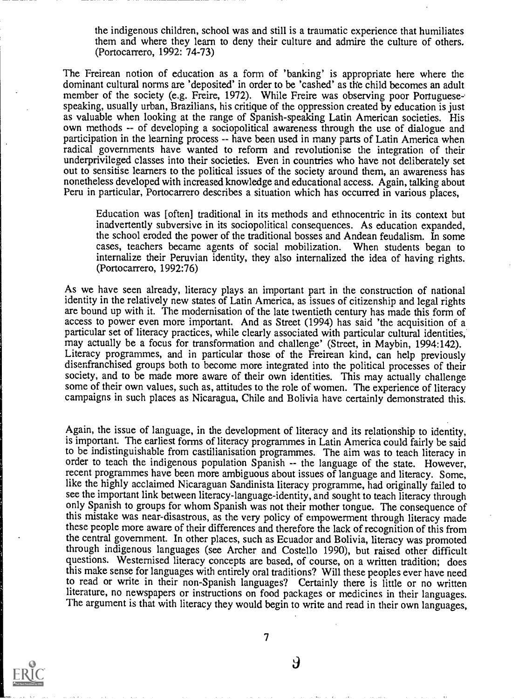the indigenous children, school was and still is a traumatic experience that humiliates them and where they learn to deny their culture and admire the culture of others. (Portocarrero, 1992: 74-73)

The Freirean notion of education as a form of 'banking' is appropriate here where the dominant cultural norms are 'deposited' in order to be 'cashed' as the child becomes an adult member of the society (e.g. Freire, 1972). While Freire was observing poor Portuguesespeaking, usually urban, Brazilians, his critique of the oppression created by education is just as valuable when looking at the range of Spanish-speaking Latin American societies. His own methods -- of developing a sociopolitical awareness through the use of dialogue and participation in the learning process -- have been used in many parts of Latin America when radical governments have wanted to reform and revolutionise the integration of their underprivileged classes into their societies. Even in countries who have not deliberately set out to sensitise learners to the political issues of the society around them, an awareness has nonetheless developed with increased knowledge and educational access. Again, talking about Peru in particular, Portocarrero describes a situation which has occurred in various places,

Education was [often] traditional in its methods and ethnocentric in its context but inadvertently subversive in its sociopolitical consequences. As education expanded, the school eroded the power of the traditional bosses and Andean feudalism. In some cases, teachers became agents of social mobilization. When students began to internalize their Peruvian identity, they also internalized the idea of having rights. (Portocarrero, 1992:76)

As we have seen already, literacy plays an important part in the construction of national identity in the relatively new states of Latin America, as issues of citizenship and legal rights are bound up with it. The modernisation of the late twentieth century has made this form of access to power even more important. And as Street (1994) has said 'the acquisition of a particular set of literacy practices, while clearly associated with particular cultural identities, may actually be a focus for transformation and challenge' (Street, in Maybin, 1994:142). Literacy programmes, and in particular those of the Freirean kind, can help previously disenfranchised groups both to become more integrated into the political processes of their society, and to be made more aware of their own identities. This may actually challenge some of their own values, such as, attitudes to the role of women. The experience of literacy campaigns in such places as Nicaragua, Chile and Bolivia have certainly demonstrated this.

Again, the issue of language, in the development of literacy and its relationship to identity, is important. The earliest forms of literacy programmes in Latin America could fairly be said to be indistinguishable from castilianisation programmes. The aim was to teach literacy in order to teach the indigenous population Spanish -- the language of the state. However, recent programmes have been more ambiguous about issues of language and literacy. Some, like the highly acclaimed Nicaraguan Sandinista literacy programme, had originally failed to see the important link between literacy-language-identity, and sought to teach literacy through only Spanish to groups for whom Spanish was not their mother tongue. The consequence of this mistake was near-disastrous, as the very policy of empowerment through literacy made these people more aware of their differences and therefore the lack of recognition of this from the central government. In other places, such as Ecuador and Bolivia, literacy was promoted through indigenous languages (see Archer and Costello 1990), but raised other difficult questions. Westernised literacy concepts are based, of course, on a written tradition; does this make sense for languages with entirely oral traditions? Will these peoples ever have need to read or write in their non-Spanish languages? Certainly there is little or no written literature, no newspapers or instructions on food packages or medicines in their languages. The argument is that with literacy they would begin to write and read in their own languages,



7

<u>J</u>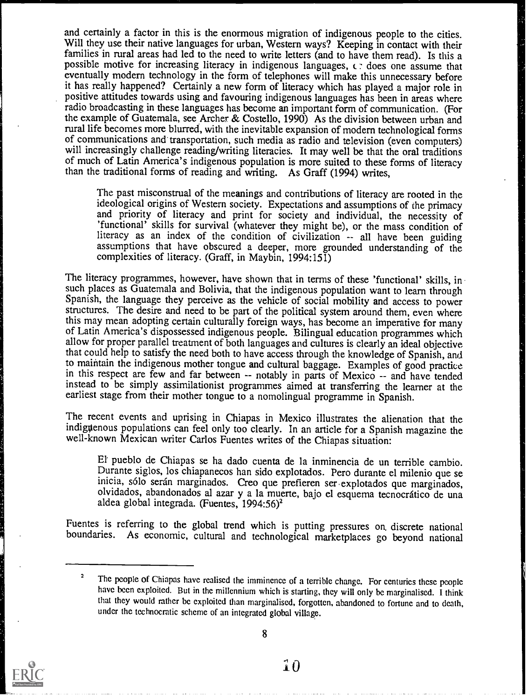and certainly a factor in this is the enormous migration of indigenous people to the cities. Will they use their native languages for urban, Western ways? Keeping in contact with their families in rural areas had led to the need to write letters (and to have them read). Is this a possible motive for increasing literacy in indigenous languages,  $\epsilon$ : does one assume that eventually modem technology in the form of telephones will make this unnecessary before it has really happened? Certainly a new form of literacy which has played a major role in positive attitudes towards using and favouring indigenous languages has been in areas where radio broadcasting in these languages has become an important form of communication. (For the example of Guatemala, see Archer & Costello, 1990) As the division between urban and rural life becomes more blurred, with the inevitable expansion of modern technological forms of communications and transportation, such media as radio and television (even computers) will increasingly challenge reading/writing literacies. It may well be that the oral traditions of much of Latin America's indigenous population is more suited to these forms of literacy than the traditional forms of reading and writing. As Graff (1994) writes,

The past misconstrual of the meanings and contributions of literacy are rooted in the ideological origins of Western society. Expectations and assumptions of the primacy and priority of literacy and print for society and individual, the necessity of 'functional' skills for survival (whatever they might be), or the mass condition of literacy as an index of the condition of civilization -- all have been guiding assumptions that have obscured a deeper, more grounded understanding of the complexities of literacy. (Graff, in Maybin, 1994:151)

The literacy programmes, however, have shown that in terms of these 'functional' skills, insuch places as Guatemala and Bolivia, that the indigenous population want to learn through Spanish, the language they perceive as the vehicle of social mobility and access to power structures. The desire and need to be part of the political system around them, even where this may mean adopting certain culturally of Latin America's dispossessed indigenous people. Bilingual education programmes which allow for proper parallel treatment of both languages and cultures is clearly an ideal objective that could help to satisfy the need both to have access through the knowledge of Spanish, and to maintain the indigenous mother tongue and cultural baggage. Examples of good practiee in this respect are few and far between -- notably in parts of Mexico -- and have tended instead to be simply assimilationist programmes aimed at transferring the learner at the earliest stage from their mother tongue to a nomolingual programme in Spanish.

The recent events and uprising in Chiapas in Mexico illustrates the alienation that the indiguenous populations can feel only too clearly. In an article for a Spanish magazine the well-known Mexican writer Carlos Fuentes writes of the Chiapas situation:

El pueblo de Chiapas se ha dado cuenta de la inminencia de un terrible cambio. Durante siglos, los chiapanecos han sido explotados. Pero durante el milenio que se inicia, solo serán marginados. Creo que prefieren ser explotados que marginados, olvidados, abandonados al azar y a la muerte, bajo el esquema tecnocrático de una aldea global integrada. (Fuentes, 1994:56)<sup>2</sup>

Fuentes is referring to the global trend which is putting pressures on, discrete national boundaries. As economic, cultural and technological marketplaces go beyond national



8

The people of Chiapas have realised the imminence of a terrible change. For centuries these people have been exploited. But in the millennium which is starting, thcy will only be marginalised. I think that they would rather be exploited than marginalised, forgotten, abandoned to fortune and to death, under the technocratic scheme of an integrated global village.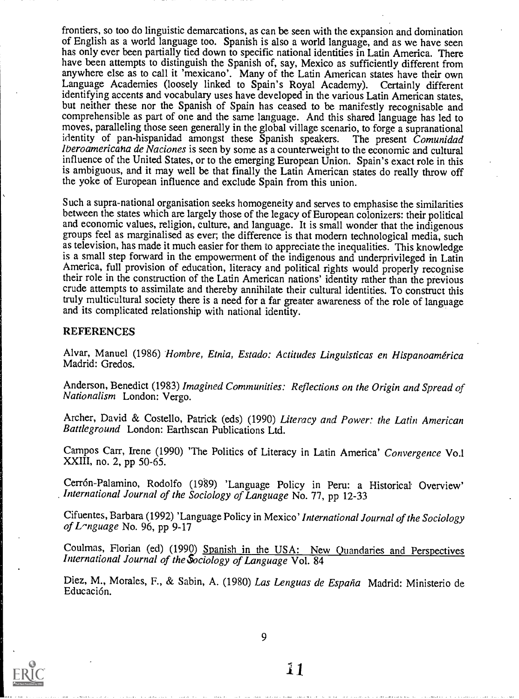frontiers, so too do linguistic demarcations, as can be seen with the expansion and domination of English as a world language too. Spanish is also a world language, and as we have seen has only ever been partially tied down to specific national identities in Latin America. There have been attempts to distinguish the Spanish of, say, Mexico as sufficiently different from anywhere else as to call it 'mexicano'. Many of the Latin American states have their own Language Academies (loosely linked to Spain's Royal Academy). Certainly different identifying accents and vocabulary uses have developed in the various Latin American states, but neither these nor the Spanish of Spain has ceased to be manifestly recognisable and comprehensible as part of one and the same language. And this shared language has led to moves, paralleling those seen generally in the global village scenario, to forge a supranational identity of pan-hispanidad amongst these Spanish speakers. The present Comunidad Iberoamericana de Naciones is seen by some as a counterweight to the economic and cultural influence of the United States, or to the emerging European Union. Spain's exact role in this is ambiguous, and it may well be that finally the Latin American states do really throw off the yoke of European influence and exclude Spain from this union.

Such a supra-national organisation seeks homogeneity and serves to emphasise the similarities between the states which are largely those of the legacy of European colonizers: their political and economic values, religion, culture, and language. It is small wonder that the indigenous groups feel as marginalised as ever, the difference is that modern technological media, such as television, has made it much easier for them to appreciate the inequalities. This knowledge is a small step forward in the empowerment of the indigenous and underprivileged in Latin America, full provision of education, literacy and political rights would properly recognise their role in the construction of the Latin American nations' identity rather than the previous crude attempts to assimilate and thereby annihilate their cultural identities. To construct this truly multicultural society there is a need for a far greater awareness of the role of language and its complicated relationship with national identity.

### REFERENCES

Alvar, Manuel (1986) Hombre, Etnia, Estado: Actitudes Linguisticas en Hispanoamérica Madrid: Gredos.

Anderson, Benedict (1983) Imagined Communities: Reflections on the Origin and Spread of Nationalism London: Vergo.

Archer, David & Costello, Patrick (eds) (1990) Literacy and Power: the Latin American Battleground London: Earthscan Publications Ltd.

Campos Carr, Irene (1990) 'The Politics of Literacy in Latin America' Convergence Vo.1 XXIII, no. 2, pp 50-65.

Cerrón-Palamino, Rodolfo (1989) 'Language Policy in Peru: a Historical Overview' International Journal of the Sociology of Language No. 77, pp 12-33

Cifuentes, Barbara (1992) 'Language Policy in Mexico' International Journal of the Sociology of Language No. 96, pp 9-17

Coulmas, Florian (ed) (1990) Spanish in the USA: New Quandaries and Perspectives International Journal of the Sociology of Language Vol. 84

Diez, M., Morales, F., & Sabin, A. (1980) Las Lenguas de España Madrid: Ministerio de Educación.



9

i 1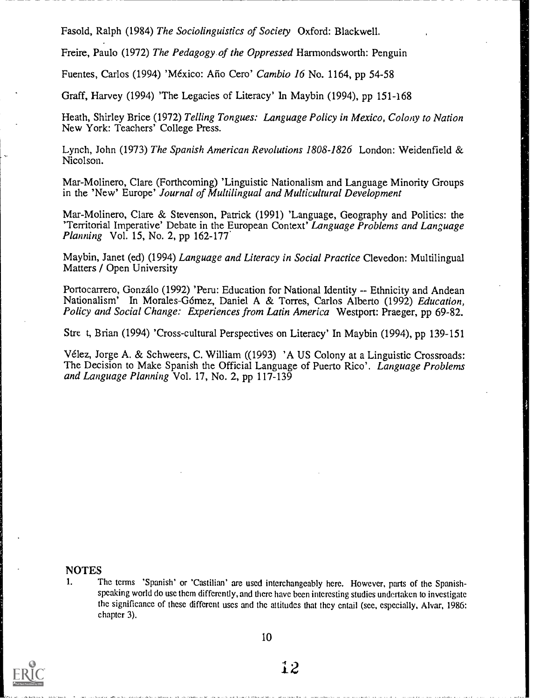Fasold, Ralph (1984) The Sociolinguistics of Society Oxford: Blackwell.

Freire, Paulo (1972) The Pedagogy of the Oppressed Harmondsworth: Penguin

Fuentes, Carlos (1994) 'México: Año Cero' Cambio 16 No. 1164, pp 54-58

Graff, Harvey (1994) 'The Legacies of Literacy' In Maybin (1994), pp 151-168

Heath, Shirley Brice (1972) Telling Tongues: Language Policy in Mexico, Colony to Nation New York: Teachers' College Press.

Lynch, John (1973) The Spanish American Revolutions 1808-1826 London: Weidenfield & Nicolson.

Mar-Molinero, Clare (Forthcoming) 'Linguistic Nationalism and Language Minority Groups in the 'New' Europe' Journal of Multilingual and Multicultural Development

Mar-Molinero, Clare & Stevenson, Patrick (1991) 'Language, Geography and Politics: the 'Territorial Imperative' Debate in the European Context' Language Problems and Language Planning Vol. 15, No. 2, pp 162-177.

Maybin, Janet (ed) (1994) Language and Literacy in Social Practice Clevedon: Multilingual Matters / Open University

Portocarrero, Gonzálo (1992) 'Peru: Education for National Identity -- Ethnicity and Andean Nationalism' In Morales-Górnez, Daniel A & Torres, Carlos Alberto (1992) Education, Policy and Social Change: Experiences from Latin America Westport: Praeger, pp 69-82.

Stre t, Brian (1994) 'Cross-cultural Perspectives on Literacy' In Maybin (1994), pp 139-151

Vélez, Jorge A. & Schweers, C. William ((1993) 'A US Colony at a Linguistic Crossroads: The Decision to Make Spanish the Official Language of Puerto Rico'. Language Problems and Language Planning Vol. 17, No. 2, pp 117-139

## NOTES<sub>1</sub>

The terms 'Spanish' or 'Castilian' are used interchangeably here. However, parts of the Spanishspeaking world do use them differently, and there have been interesting studies undertaken to investigate the significance of these different uses and the attitudes that they entail (see, especially, Alvar, 1986: chapter 3).



10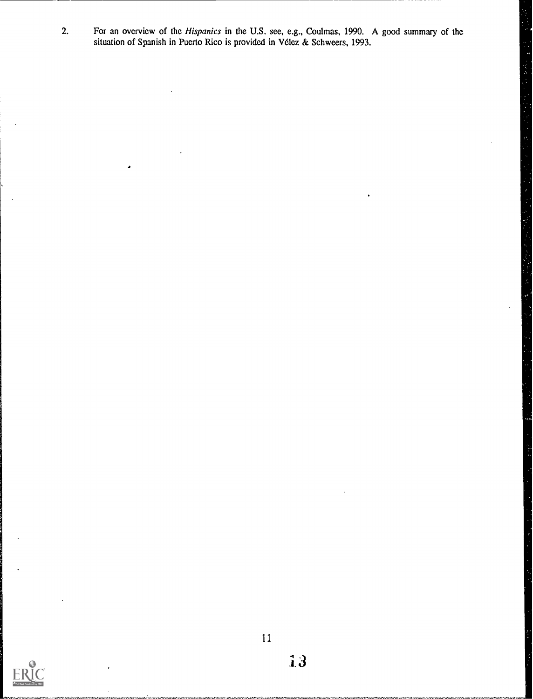2. For an overview of the *Hispanics* in the U.S. see, e.g., Coulmas, 1990. A good summary of the situation of Spanish in Puerto Rico is provided in Vélez & Schweers, 1993.

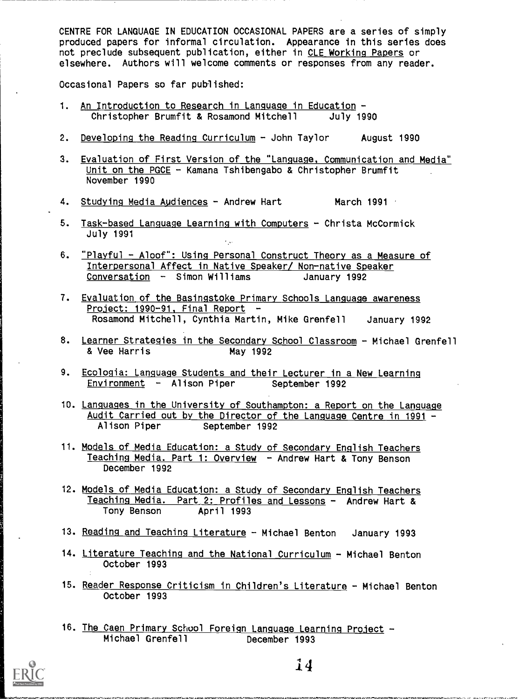CENTRE FOR LANGUAGE IN EDUCATION OCCASIONAL PAPERS are a series of simply produced papers for informal circulation. Appearance in this series does not preclude subsequent publication, either in CLE Working Papers or elsewhere. Authors will welcome comments or responses from any reader.

Occasional Papers so far published:

- 1. An Introduction to Research in Language in Education -Christopher Brumfit & Rosamond Mitchell July 1990
- 2. Developing the Reading Curriculum John Taylor August 1990
- 3. Evaluation of First Version of the "Language. Communication and Media" Unit on the PGCE - Kamana Tshibengabo & Christopher Brumfit November 1990
- 4. Studying Media Audiences  $-$  Andrew Hart March 1991  $\cdot$
- 5. Task-based Language Learning with Computers Christa McCormick July 1991
- 6. "Playful Aloof": Using Personal Construct Theory as a Measure of Interpersonal Affect in Native Speaker/ Non-native Speaker  $Conversion - Simon Williams$  January 1992
- 7. Evaluation of the Basingstoke Primary Schools Language awareness Project: 1990-91, Final Report -Rosamond Mitchell, Cynthia Martin, Mike Grenfell January 1992
- 8. Learner Strategies in the Secondary School Classroom Michael Grenfell & Vee Harris May 1992
- 9. Ecologia: Language Students and their Lecturer in a New Learning Environment - Alison Piper September 1992
- 10. Languages in the University of Southampton: a Report on the Language Audit Carried out by the Director of the Language Centre in 1991 -<br>Alison Piper September 1992 September 1992
- 11. Models of Media Education: a Study of Secondary English Teachers Teaching Media. Part 1: Overview - Andrew Hart & Tony Benson December 1992
- 12. Models of Media Educatjon: a Study of Secondary English Teachers Teaching Media. Part 2: Profiles and Lessons - Andrew Hart & Tony Benson April 1993
- 13. Reading and Teaching Literature Michael Benton January 1993
- 14. Literature Teaching and the National Curriculum Michael Benton October 1993
- 15. Reader Response Criticism in Children's Literature Michael Benton October 1993
- 16. The Caen Primary School Foreign Language Learning Project -Michael Grenfell December 1993



vde,4